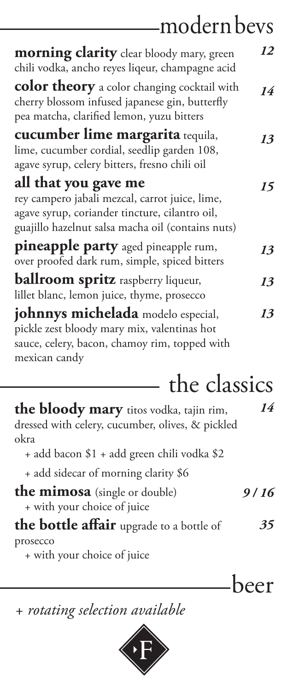# modern bevs

**morning clarity** clear bloody mary, green chili vodka, ancho reyes liqeur, champagne acid

**color theory** a color changing cocktail with cherry blossom infused japanese gin, butterfly pea matcha, clarified lemon, yuzu bitters

**cucumber lime margarita** tequila, lime, cucumber cordial, seedlip garden 108, agave syrup, celery bitters, fresno chili oil

### **all that you gave me**

rey campero jabali mezcal, carrot juice, lime, agave syrup, coriander tincture, cilantro oil, guajillo hazelnut salsa macha oil (contains nuts) **pineapple party** aged pineapple rum,

over proofed dark rum, simple, spiced bitters **ballroom spritz** raspberry liqueur, lillet blanc, lemon juice, thyme, prosecco **johnnys michelada** modelo especial, pickle zest bloody mary mix, valentinas hot sauce, celery, bacon, chamoy rim, topped with mexican candy

*12*

*14*

*13*

*15*

*13*

*13*

*13*

the classics **the bloody mary** titos vodka, tajin rim, dressed with celery, cucumber, olives, & pickled okra

- + add bacon \$1 + add green chili vodka \$2
- + add sidecar of morning clarity \$6

**the mimosa** (single or double) + with your choice of juice

### **the bottle affair** upgrade to a bottle of prosecco + with your choice of juice

*14*

*9 / 16*

*35*

beer

### *+ rotating selection available*